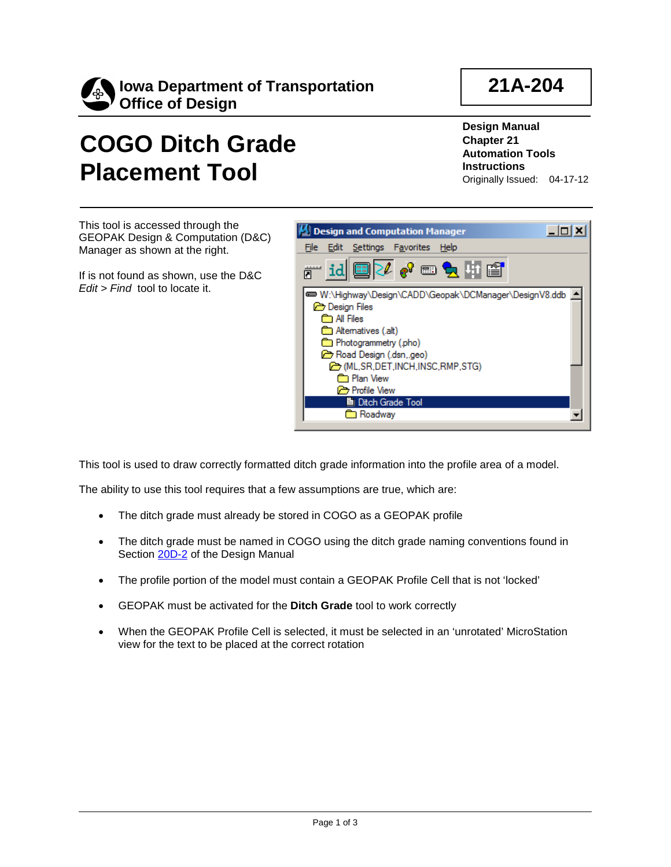

## **21A-204**

## **COGO Ditch Grade Placement Tool**

**Design Manual Chapter 21 Automation Tools Instructions** Originally Issued: 04-17-12

This tool is accessed through the GEOPAK Design & Computation (D&C) Manager as shown at the right.

If is not found as shown, use the D&C *Edit > Find* tool to locate it.



This tool is used to draw correctly formatted ditch grade information into the profile area of a model.

The ability to use this tool requires that a few assumptions are true, which are:

- The ditch grade must already be stored in COGO as a GEOPAK profile
- The ditch grade must be named in COGO using the ditch grade naming conventions found in Section 20D-2 of the Design Manual
- The profile portion of the model must contain a GEOPAK Profile Cell that is not 'locked'
- GEOPAK must be activated for the **Ditch Grade** tool to work correctly
- When the GEOPAK Profile Cell is selected, it must be selected in an 'unrotated' MicroStation view for the text to be placed at the correct rotation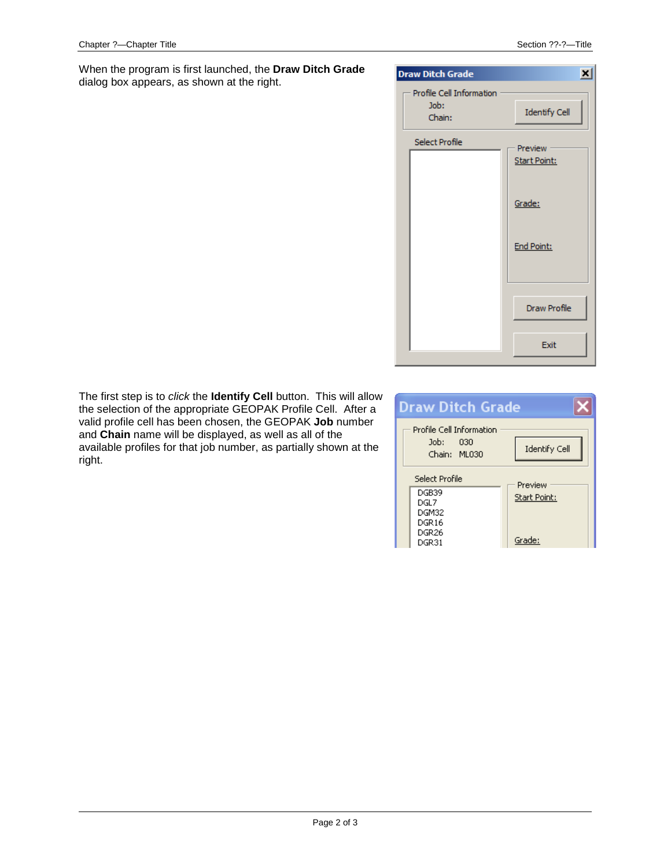When the program is first launched, the **Draw Ditch Grade**  dialog box appears, as shown at the right.

| <b>Draw Ditch Grade</b>                    | ×                              |
|--------------------------------------------|--------------------------------|
| Profile Cell Information<br>Job:<br>Chain: | Identify Cell                  |
| Select Profile                             | Preview<br><b>Start Point:</b> |
|                                            | Grade:                         |
|                                            | <b>End Point:</b>              |
|                                            | Draw Profile                   |
|                                            | Exit                           |

The first step is to *click* the **Identify Cell** button. This will allow the selection of the appropriate GEOPAK Profile Cell. After a valid profile cell has been chosen, the GEOPAK **Job** number and **Chain** name will be displayed, as well as all of the available profiles for that job number, as partially shown at the right.

| <b>Draw Ditch Grade</b>                              |                      |  |
|------------------------------------------------------|----------------------|--|
| Profile Cell Information<br>Job: 030<br>Chain: ML030 | <b>Identify Cell</b> |  |
| Select Profile                                       | Preview              |  |
| DGB39                                                |                      |  |
| DGL7                                                 | Start Point:         |  |
| DGM32                                                |                      |  |
| DGR16                                                |                      |  |
| DGR <sub>26</sub>                                    |                      |  |
| DGR31                                                | Grade:               |  |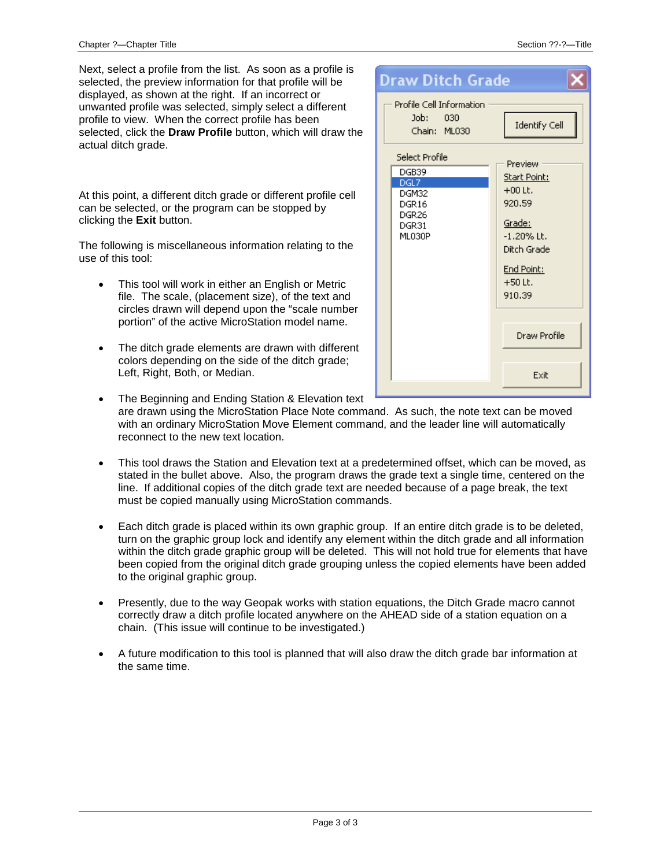Next, select a profile from the list. As soon as a profile is selected, the preview information for that profile will be displayed, as shown at the right. If an incorrect or unwanted profile was selected, simply select a different profile to view. When the correct profile has been selected, click the **Draw Profile** button, which will draw the actual ditch grade.

At this point, a different ditch grade or different profile cell can be selected, or the program can be stopped by clicking the **Exit** button.

The following is miscellaneous information relating to the use of this tool:

- This tool will work in either an English or Metric file. The scale, (placement size), of the text and circles drawn will depend upon the "scale number portion" of the active MicroStation model name.
- The ditch grade elements are drawn with different colors depending on the side of the ditch grade; Left, Right, Both, or Median.

| <b>Draw Ditch Grade</b>                                                   |                                                                                                                               |
|---------------------------------------------------------------------------|-------------------------------------------------------------------------------------------------------------------------------|
| Profile Cell Information<br>Job:<br>030<br>Chain: ML030<br>Select Profile | <b>Identify Cell</b>                                                                                                          |
| DGB39<br>DGL7<br>DGM32<br>DGR16<br>DGR <sub>26</sub><br>DGR31<br>ML030P   | Preview<br>Start Point:<br>$+00$ Lt.<br>920.59<br>Grade:<br>$-1.20\%$ Lt.<br>Ditch Grade<br>End Point:<br>$+50$ Lt.<br>910.39 |
|                                                                           | Draw Profile                                                                                                                  |
|                                                                           | Exit                                                                                                                          |

- The Beginning and Ending Station & Elevation text are drawn using the MicroStation Place Note command. As such, the note text can be moved with an ordinary MicroStation Move Element command, and the leader line will automatically reconnect to the new text location.
- This tool draws the Station and Elevation text at a predetermined offset, which can be moved, as stated in the bullet above. Also, the program draws the grade text a single time, centered on the line. If additional copies of the ditch grade text are needed because of a page break, the text must be copied manually using MicroStation commands.
- Each ditch grade is placed within its own graphic group. If an entire ditch grade is to be deleted, turn on the graphic group lock and identify any element within the ditch grade and all information within the ditch grade graphic group will be deleted. This will not hold true for elements that have been copied from the original ditch grade grouping unless the copied elements have been added to the original graphic group.
- Presently, due to the way Geopak works with station equations, the Ditch Grade macro cannot correctly draw a ditch profile located anywhere on the AHEAD side of a station equation on a chain. (This issue will continue to be investigated.)
- A future modification to this tool is planned that will also draw the ditch grade bar information at the same time.